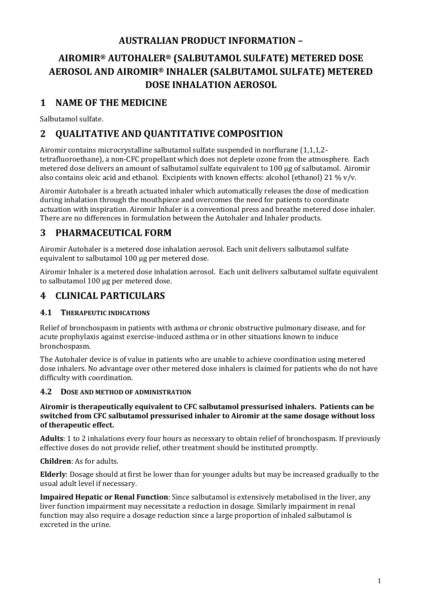## **AUSTRALIAN PRODUCT INFORMATION –**

# **AIROMIR® AUTOHALER® (SALBUTAMOL SULFATE) METERED DOSE AEROSOL AND AIROMIR® INHALER (SALBUTAMOL SULFATE) METERED DOSE INHALATION AEROSOL**

## **1 NAME OF THE MEDICINE**

Salbutamol sulfate.

## **2 QUALITATIVE AND QUANTITATIVE COMPOSITION**

Airomir contains microcrystalline salbutamol sulfate suspended in norflurane (1,1,1,2 tetrafluoroethane), a non-CFC propellant which does not deplete ozone from the atmosphere. Each metered dose delivers an amount of salbutamol sulfate equivalent to 100 µg of salbutamol. Airomir also contains oleic acid and ethanol. Excipients with known effects: alcohol (ethanol) 21 % v/v.

Airomir Autohaler is a breath actuated inhaler which automatically releases the dose of medication during inhalation through the mouthpiece and overcomes the need for patients to coordinate actuation with inspiration. Airomir Inhaler is a conventional press and breathe metered dose inhaler. There are no differences in formulation between the Autohaler and Inhaler products.

## **3 PHARMACEUTICAL FORM**

Airomir Autohaler is a metered dose inhalation aerosol. Each unit delivers salbutamol sulfate equivalent to salbutamol 100 µg per metered dose.

Airomir Inhaler is a metered dose inhalation aerosol. Each unit delivers salbutamol sulfate equivalent to salbutamol 100 µg per metered dose.

## **4 CLINICAL PARTICULARS**

## **4.1 THERAPEUTIC INDICATIONS**

Relief of bronchospasm in patients with asthma or chronic obstructive pulmonary disease, and for acute prophylaxis against exercise-induced asthma or in other situations known to induce bronchospasm.

The Autohaler device is of value in patients who are unable to achieve coordination using metered dose inhalers. No advantage over other metered dose inhalers is claimed for patients who do not have difficulty with coordination.

## **4.2 DOSE AND METHOD OF ADMINISTRATION**

#### **Airomir is therapeutically equivalent to CFC salbutamol pressurised inhalers. Patients can be switched from CFC salbutamol pressurised inhaler to Airomir at the same dosage without loss of therapeutic effect.**

**Adults**: 1 to 2 inhalations every four hours as necessary to obtain relief of bronchospasm. If previously effective doses do not provide relief, other treatment should be instituted promptly.

## **Children**: As for adults.

**Elderly**: Dosage should at first be lower than for younger adults but may be increased gradually to the usual adult level if necessary.

**Impaired Hepatic or Renal Function**: Since salbutamol is extensively metabolised in the liver, any liver function impairment may necessitate a reduction in dosage. Similarly impairment in renal function may also require a dosage reduction since a large proportion of inhaled salbutamol is excreted in the urine.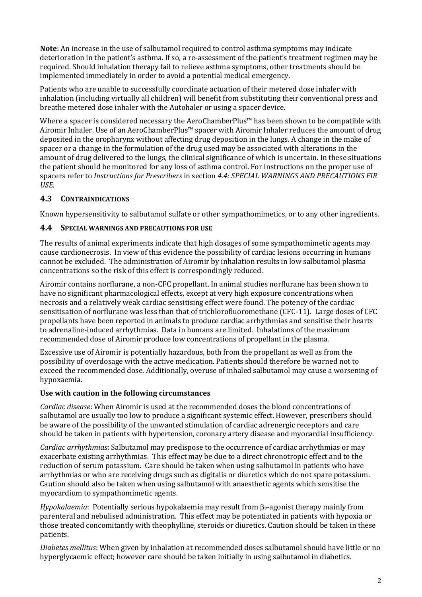**Note**: An increase in the use of salbutamol required to control asthma symptoms may indicate deterioration in the patient's asthma. If so, a re-assessment of the patient's treatment regimen may be required. Should inhalation therapy fail to relieve asthma symptoms, other treatments should be implemented immediately in order to avoid a potential medical emergency.

Patients who are unable to successfully coordinate actuation of their metered dose inhaler with inhalation (including virtually all children) will benefit from substituting their conventional press and breathe metered dose inhaler with the Autohaler or using a spacer device.

Where a spacer is considered necessary the AeroChamberPlus™ has been shown to be compatible with Airomir Inhaler. Use of an AeroChamberPlus™ spacer with Airomir Inhaler reduces the amount of drug deposited in the oropharynx without affecting drug deposition in the lungs. A change in the make of spacer or a change in the formulation of the drug used may be associated with alterations in the amount of drug delivered to the lungs, the clinical significance of which is uncertain. In these situations the patient should be monitored for any loss of asthma control. For instructions on the proper use of spacers refer to *Instructions for Prescribers* in section *4.4: SPECIAL WARNINGS AND PRECAUTIONS FIR USE*.

## **4.3 CONTRAINDICATIONS**

Known hypersensitivity to salbutamol sulfate or other sympathomimetics, or to any other ingredients.

## **4.4 SPECIAL WARNINGS AND PRECAUTIONS FOR USE**

The results of animal experiments indicate that high dosages of some sympathomimetic agents may cause cardionecrosis. In view of this evidence the possibility of cardiac lesions occurring in humans cannot be excluded. The administration of Airomir by inhalation results in low salbutamol plasma concentrations so the risk of this effect is correspondingly reduced.

Airomir contains norflurane, a non-CFC propellant. In animal studies norflurane has been shown to have no significant pharmacological effects, except at very high exposure concentrations when necrosis and a relatively weak cardiac sensitising effect were found. The potency of the cardiac sensitisation of norflurane was less than that of trichlorofluoromethane (CFC-11). Large doses of CFC propellants have been reported in animals to produce cardiac arrhythmias and sensitise their hearts to adrenaline-induced arrhythmias. Data in humans are limited. Inhalations of the maximum recommended dose of Airomir produce low concentrations of propellant in the plasma.

Excessive use of Airomir is potentially hazardous, both from the propellant as well as from the possibility of overdosage with the active medication. Patients should therefore be warned not to exceed the recommended dose. Additionally, overuse of inhaled salbutamol may cause a worsening of hypoxaemia.

## **Use with caution in the following circumstances**

*Cardiac disease*: When Airomir is used at the recommended doses the blood concentrations of salbutamol are usually too low to produce a significant systemic effect. However, prescribers should be aware of the possibility of the unwanted stimulation of cardiac adrenergic receptors and care should be taken in patients with hypertension, coronary artery disease and myocardial insufficiency.

*Cardiac arrhythmias*: Salbutamol may predispose to the occurrence of cardiac arrhythmias or may exacerbate existing arrhythmias. This effect may be due to a direct chronotropic effect and to the reduction of serum potassium. Care should be taken when using salbutamol in patients who have arrhythmias or who are receiving drugs such as digitalis or diuretics which do not spare potassium. Caution should also be taken when using salbutamol with anaesthetic agents which sensitise the myocardium to sympathomimetic agents.

*Hypokalaemia*: Potentially serious hypokalaemia may result from  $\beta$ <sub>2</sub>-agonist therapy mainly from parenteral and nebulised administration. This effect may be potentiated in patients with hypoxia or those treated concomitantly with theophylline, steroids or diuretics. Caution should be taken in these patients.

*Diabetes mellitus*: When given by inhalation at recommended doses salbutamol should have little or no hyperglycaemic effect; however care should be taken initially in using salbutamol in diabetics.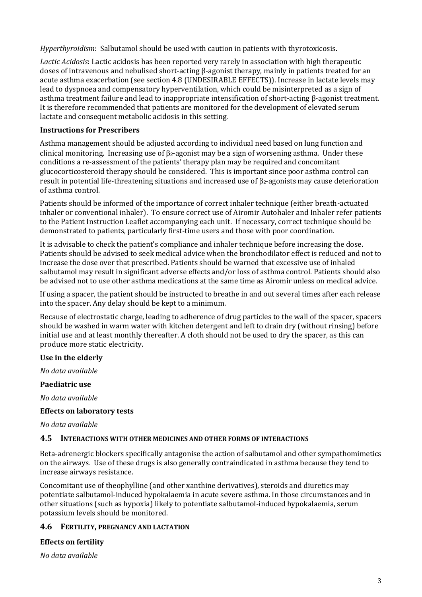*Hyperthyroidism*: Salbutamol should be used with caution in patients with thyrotoxicosis.

*Lactic Acidosis*: Lactic acidosis has been reported very rarely in association with high therapeutic doses of intravenous and nebulised short-acting β-agonist therapy, mainly in patients treated for an acute asthma exacerbation (see section 4.8 (UNDESIRABLE EFFECTS)). Increase in lactate levels may lead to dyspnoea and compensatory hyperventilation, which could be misinterpreted as a sign of asthma treatment failure and lead to inappropriate intensification of short-acting β-agonist treatment. It is therefore recommended that patients are monitored for the development of elevated serum lactate and consequent metabolic acidosis in this setting.

#### **Instructions for Prescribers**

Asthma management should be adjusted according to individual need based on lung function and clinical monitoring. Increasing use of  $\beta_2$ -agonist may be a sign of worsening asthma. Under these conditions a re-assessment of the patients' therapy plan may be required and concomitant glucocorticosteroid therapy should be considered. This is important since poor asthma control can result in potential life-threatening situations and increased use of  $\beta$ -agonists may cause deterioration of asthma control.

Patients should be informed of the importance of correct inhaler technique (either breath-actuated inhaler or conventional inhaler). To ensure correct use of Airomir Autohaler and Inhaler refer patients to the Patient Instruction Leaflet accompanying each unit. If necessary, correct technique should be demonstrated to patients, particularly first-time users and those with poor coordination.

It is advisable to check the patient's compliance and inhaler technique before increasing the dose. Patients should be advised to seek medical advice when the bronchodilator effect is reduced and not to increase the dose over that prescribed. Patients should be warned that excessive use of inhaled salbutamol may result in significant adverse effects and/or loss of asthma control. Patients should also be advised not to use other asthma medications at the same time as Airomir unless on medical advice.

If using a spacer, the patient should be instructed to breathe in and out several times after each release into the spacer. Any delay should be kept to a minimum.

Because of electrostatic charge, leading to adherence of drug particles to the wall of the spacer, spacers should be washed in warm water with kitchen detergent and left to drain dry (without rinsing) before initial use and at least monthly thereafter. A cloth should not be used to dry the spacer, as this can produce more static electricity.

#### **Use in the elderly**

*No data available*

#### **Paediatric use**

*No data available*

#### **Effects on laboratory tests**

*No data available*

#### **4.5 INTERACTIONS WITH OTHER MEDICINES AND OTHER FORMS OF INTERACTIONS**

Beta-adrenergic blockers specifically antagonise the action of salbutamol and other sympathomimetics on the airways. Use of these drugs is also generally contraindicated in asthma because they tend to increase airways resistance.

Concomitant use of theophylline (and other xanthine derivatives), steroids and diuretics may potentiate salbutamol-induced hypokalaemia in acute severe asthma. In those circumstances and in other situations (such as hypoxia) likely to potentiate salbutamol-induced hypokalaemia, serum potassium levels should be monitored.

#### **4.6 FERTILITY, PREGNANCY AND LACTATION**

#### **Effects on fertility**

*No data available*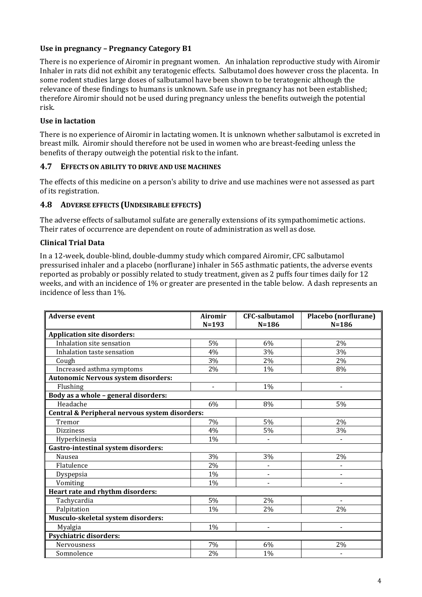### **Use in pregnancy – Pregnancy Category B1**

There is no experience of Airomir in pregnant women. An inhalation reproductive study with Airomir Inhaler in rats did not exhibit any teratogenic effects. Salbutamol does however cross the placenta. In some rodent studies large doses of salbutamol have been shown to be teratogenic although the relevance of these findings to humans is unknown. Safe use in pregnancy has not been established; therefore Airomir should not be used during pregnancy unless the benefits outweigh the potential risk.

### **Use in lactation**

There is no experience of Airomir in lactating women. It is unknown whether salbutamol is excreted in breast milk. Airomir should therefore not be used in women who are breast-feeding unless the benefits of therapy outweigh the potential risk to the infant.

#### **4.7 EFFECTS ON ABILITY TO DRIVE AND USE MACHINES**

The effects of this medicine on a person's ability to drive and use machines were not assessed as part of its registration.

### **4.8 ADVERSE EFFECTS (UNDESIRABLE EFFECTS)**

The adverse effects of salbutamol sulfate are generally extensions of its sympathomimetic actions. Their rates of occurrence are dependent on route of administration as well as dose.

### **Clinical Trial Data**

In a 12-week, double-blind, double-dummy study which compared Airomir, CFC salbutamol pressurised inhaler and a placebo (norflurane) inhaler in 565 asthmatic patients, the adverse events reported as probably or possibly related to study treatment, given as 2 puffs four times daily for 12 weeks, and with an incidence of 1% or greater are presented in the table below. A dash represents an incidence of less than 1%.

| <b>Adverse event</b>                           | <b>Airomir</b><br>$N = 193$ | <b>CFC-salbutamol</b><br>$N = 186$ | Placebo (norflurane)<br>$N = 186$ |
|------------------------------------------------|-----------------------------|------------------------------------|-----------------------------------|
| <b>Application site disorders:</b>             |                             |                                    |                                   |
| Inhalation site sensation                      | 5%                          | 6%                                 | 2%                                |
| Inhalation taste sensation                     | 4%                          | 3%                                 | 3%                                |
| Cough                                          | 3%                          | 2%                                 | 2%                                |
| <b>Increased asthma symptoms</b>               | 2%                          | 1%                                 | 8%                                |
| <b>Autonomic Nervous system disorders:</b>     |                             |                                    |                                   |
| Flushing                                       | $\blacksquare$              | 1%                                 |                                   |
| Body as a whole - general disorders:           |                             |                                    |                                   |
| Headache                                       | 6%                          | 8%                                 | 5%                                |
| Central & Peripheral nervous system disorders: |                             |                                    |                                   |
| Tremor                                         | 7%                          | 5%                                 | 2%                                |
| <b>Dizziness</b>                               | 4%                          | 5%                                 | 3%                                |
| Hyperkinesia                                   | 1%                          |                                    |                                   |
| <b>Gastro-intestinal system disorders:</b>     |                             |                                    |                                   |
| Nausea                                         | 3%                          | 3%                                 | 2%                                |
| Flatulence                                     | 2%                          |                                    |                                   |
| Dyspepsia                                      | 1%                          | -                                  |                                   |
| Vomiting                                       | 1%                          |                                    |                                   |
| Heart rate and rhythm disorders:               |                             |                                    |                                   |
| Tachycardia                                    | 5%                          | 2%                                 |                                   |
| Palpitation                                    | 1%                          | 2%                                 | 2%                                |
| Musculo-skeletal system disorders:             |                             |                                    |                                   |
| Myalgia                                        | 1%                          |                                    |                                   |
| <b>Psychiatric disorders:</b>                  |                             |                                    |                                   |
| Nervousness                                    | 7%                          | 6%                                 | 2%                                |
| Somnolence                                     | 2%                          | 1%                                 |                                   |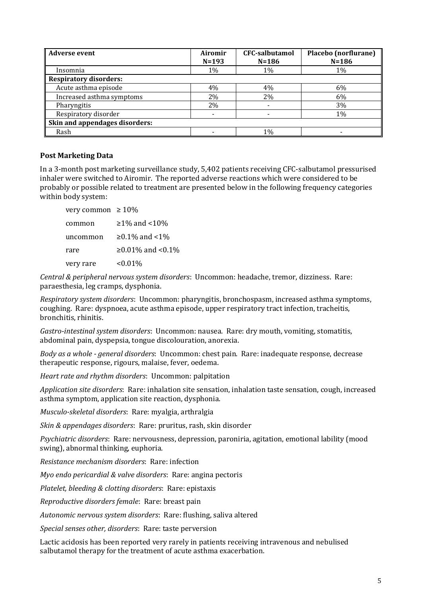| <b>Adverse event</b>           | Airomir<br>$N = 193$ | <b>CFC-salbutamol</b><br>$N = 186$ | Placebo (norflurane)<br>$N = 186$ |
|--------------------------------|----------------------|------------------------------------|-----------------------------------|
| Insomnia                       | 1%                   | 1%                                 | 1%                                |
| <b>Respiratory disorders:</b>  |                      |                                    |                                   |
| Acute asthma episode           | 4%                   | 4%                                 | 6%                                |
| Increased asthma symptoms      | 2%                   | 2%                                 | 6%                                |
| Pharyngitis                    | 2%                   |                                    | 3%                                |
| Respiratory disorder           |                      |                                    | 1%                                |
| Skin and appendages disorders: |                      |                                    |                                   |
| Rash                           |                      | 1%                                 |                                   |

#### **Post Marketing Data**

In a 3-month post marketing surveillance study, 5,402 patients receiving CFC-salbutamol pressurised inhaler were switched to Airomir. The reported adverse reactions which were considered to be probably or possible related to treatment are presented below in the following frequency categories within body system:

| very common $\geq 10\%$ |                  |
|-------------------------|------------------|
| common                  | ≥1% and <10%     |
| uncommon                | ≥0.1% and <1%    |
| rare                    | ≥0.01% and <0.1% |
| very rare               | $0.01\%$         |

*Central & peripheral nervous system disorders*: Uncommon: headache, tremor, dizziness. Rare: paraesthesia, leg cramps, dysphonia.

*Respiratory system disorders*: Uncommon: pharyngitis, bronchospasm, increased asthma symptoms, coughing. Rare: dyspnoea, acute asthma episode, upper respiratory tract infection, tracheitis, bronchitis, rhinitis.

*Gastro-intestinal system disorders*: Uncommon: nausea. Rare: dry mouth, vomiting, stomatitis, abdominal pain, dyspepsia, tongue discolouration, anorexia.

*Body as a whole - general disorders*: Uncommon: chest pain. Rare: inadequate response, decrease therapeutic response, rigours, malaise, fever, oedema.

*Heart rate and rhythm disorders*: Uncommon: palpitation

*Application site disorders*: Rare: inhalation site sensation, inhalation taste sensation, cough, increased asthma symptom, application site reaction, dysphonia.

*Musculo-skeletal disorders*: Rare: myalgia, arthralgia

*Skin & appendages disorders*: Rare: pruritus, rash, skin disorder

*Psychiatric disorders*: Rare: nervousness, depression, paroniria, agitation, emotional lability (mood swing), abnormal thinking, euphoria.

*Resistance mechanism disorders*: Rare: infection

*Myo endo pericardial & valve disorders*: Rare: angina pectoris

*Platelet, bleeding & clotting disorders*: Rare: epistaxis

*Reproductive disorders female*: Rare: breast pain

*Autonomic nervous system disorders*: Rare: flushing, saliva altered

*Special senses other, disorders*: Rare: taste perversion

Lactic acidosis has been reported very rarely in patients receiving intravenous and nebulised salbutamol therapy for the treatment of acute asthma exacerbation.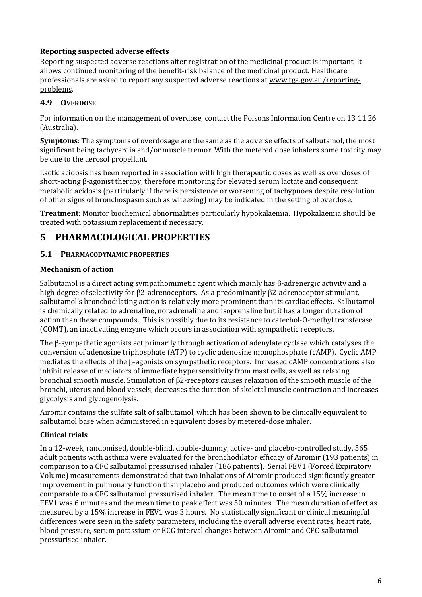## **Reporting suspected adverse effects**

Reporting suspected adverse reactions after registration of the medicinal product is important. It allows continued monitoring of the benefit-risk balance of the medicinal product. Healthcare professionals are asked to report any suspected adverse reactions at [www.tga.gov.au/reporting](http://www.tga.gov.au/reporting-problems)[problems.](http://www.tga.gov.au/reporting-problems)

## **4.9 OVERDOSE**

For information on the management of overdose, contact the Poisons Information Centre on 13 11 26 (Australia).

**Symptoms**: The symptoms of overdosage are the same as the adverse effects of salbutamol, the most significant being tachycardia and/or muscle tremor. With the metered dose inhalers some toxicity may be due to the aerosol propellant.

Lactic acidosis has been reported in association with high therapeutic doses as well as overdoses of short-acting β-agonist therapy, therefore monitoring for elevated serum lactate and consequent metabolic acidosis (particularly if there is persistence or worsening of tachypnoea despite resolution of other signs of bronchospasm such as wheezing) may be indicated in the setting of overdose.

**Treatment**: Monitor biochemical abnormalities particularly hypokalaemia. Hypokalaemia should be treated with potassium replacement if necessary.

## **5 PHARMACOLOGICAL PROPERTIES**

## **5.1 PHARMACODYNAMIC PROPERTIES**

#### **Mechanism of action**

Salbutamol is a direct acting sympathomimetic agent which mainly has  $\beta$ -adrenergic activity and a high degree of selectivity for B2-adrenoceptors. As a predominantly B2-adrenoceptor stimulant, salbutamol's bronchodilating action is relatively more prominent than its cardiac effects. Salbutamol is chemically related to adrenaline, noradrenaline and isoprenaline but it has a longer duration of action than these compounds. This is possibly due to its resistance to catechol-O-methyl transferase (COMT), an inactivating enzyme which occurs in association with sympathetic receptors.

The  $\beta$ -sympathetic agonists act primarily through activation of adenylate cyclase which catalyses the conversion of adenosine triphosphate (ATP) to cyclic adenosine monophosphate (cAMP). Cyclic AMP mediates the effects of the B-agonists on sympathetic receptors. Increased cAMP concentrations also inhibit release of mediators of immediate hypersensitivity from mast cells, as well as relaxing bronchial smooth muscle. Stimulation of 2-receptors causes relaxation of the smooth muscle of the bronchi, uterus and blood vessels, decreases the duration of skeletal muscle contraction and increases glycolysis and glycogenolysis.

Airomir contains the sulfate salt of salbutamol, which has been shown to be clinically equivalent to salbutamol base when administered in equivalent doses by metered-dose inhaler.

## **Clinical trials**

In a 12-week, randomised, double-blind, double-dummy, active- and placebo-controlled study, 565 adult patients with asthma were evaluated for the bronchodilator efficacy of Airomir (193 patients) in comparison to a CFC salbutamol pressurised inhaler (186 patients). Serial FEV1 (Forced Expiratory Volume) measurements demonstrated that two inhalations of Airomir produced significantly greater improvement in pulmonary function than placebo and produced outcomes which were clinically comparable to a CFC salbutamol pressurised inhaler. The mean time to onset of a 15% increase in FEV1 was 6 minutes and the mean time to peak effect was 50 minutes. The mean duration of effect as measured by a 15% increase in FEV1 was 3 hours. No statistically significant or clinical meaningful differences were seen in the safety parameters, including the overall adverse event rates, heart rate, blood pressure, serum potassium or ECG interval changes between Airomir and CFC-salbutamol pressurised inhaler.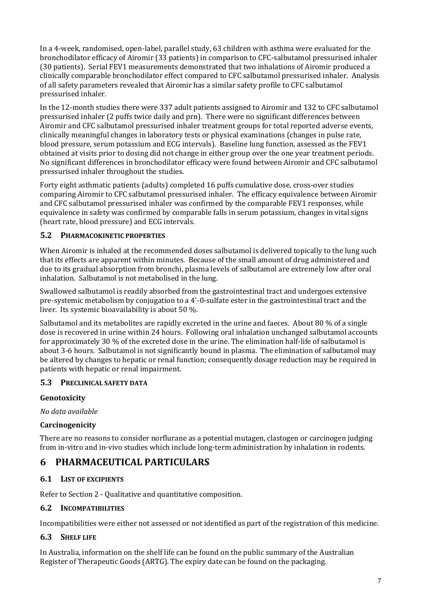In a 4-week, randomised, open-label, parallel study, 63 children with asthma were evaluated for the bronchodilator efficacy of Airomir (33 patients) in comparison to CFC-salbutamol pressurised inhaler (30 patients). Serial FEV1 measurements demonstrated that two inhalations of Airomir produced a clinically comparable bronchodilator effect compared to CFC salbutamol pressurised inhaler. Analysis of all safety parameters revealed that Airomir has a similar safety profile to CFC salbutamol pressurised inhaler.

In the 12-month studies there were 337 adult patients assigned to Airomir and 132 to CFC salbutamol pressurised inhaler (2 puffs twice daily and prn). There were no significant differences between Airomir and CFC salbutamol pressurised inhaler treatment groups for total reported adverse events, clinically meaningful changes in laboratory tests or physical examinations (changes in pulse rate, blood pressure, serum potassium and ECG intervals). Baseline lung function, assessed as the FEV1 obtained at visits prior to dosing did not change in either group over the one year treatment periods. No significant differences in bronchodilator efficacy were found between Airomir and CFC salbutamol pressurised inhaler throughout the studies.

Forty eight asthmatic patients (adults) completed 16 puffs cumulative dose, cross-over studies comparing Airomir to CFC salbutamol pressurised inhaler. The efficacy equivalence between Airomir and CFC salbutamol pressurised inhaler was confirmed by the comparable FEV1 responses, while equivalence in safety was confirmed by comparable falls in serum potassium, changes in vital signs (heart rate, blood pressure) and ECG intervals.

## **5.2 PHARMACOKINETIC PROPERTIES**

When Airomir is inhaled at the recommended doses salbutamol is delivered topically to the lung such that its effects are apparent within minutes. Because of the small amount of drug administered and due to its gradual absorption from bronchi, plasma levels of salbutamol are extremely low after oral inhalation. Salbutamol is not metabolised in the lung.

Swallowed salbutamol is readily absorbed from the gastrointestinal tract and undergoes extensive pre-systemic metabolism by conjugation to a 4'-0-sulfate ester in the gastrointestinal tract and the liver. Its systemic bioavailability is about 50 %.

Salbutamol and its metabolites are rapidly excreted in the urine and faeces. About 80 % of a single dose is recovered in urine within 24 hours. Following oral inhalation unchanged salbutamol accounts for approximately 30 % of the excreted dose in the urine. The elimination half-life of salbutamol is about 3-6 hours. Salbutamol is not significantly bound in plasma. The elimination of salbutamol may be altered by changes to hepatic or renal function; consequently dosage reduction may be required in patients with hepatic or renal impairment.

#### **5.3 PRECLINICAL SAFETY DATA**

#### **Genotoxicity**

*No data available*

## **Carcinogenicity**

There are no reasons to consider norflurane as a potential mutagen, clastogen or carcinogen judging from in-vitro and in-vivo studies which include long-term administration by inhalation in rodents.

## **6 PHARMACEUTICAL PARTICULARS**

## **6.1 LIST OF EXCIPIENTS**

Refer to Section 2 - Qualitative and quantitative composition.

#### **6.2 INCOMPATIBILITIES**

Incompatibilities were either not assessed or not identified as part of the registration of this medicine.

## **6.3 SHELF LIFE**

In Australia, information on the shelf life can be found on the public summary of the Australian Register of Therapeutic Goods (ARTG). The expiry date can be found on the packaging.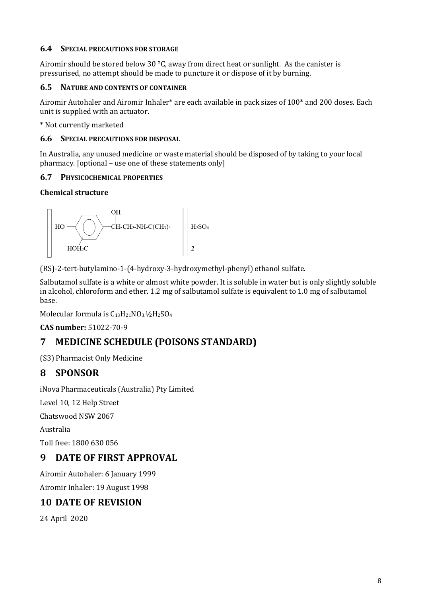## **6.4 SPECIAL PRECAUTIONS FOR STORAGE**

Airomir should be stored below 30 °C, away from direct heat or sunlight. As the canister is pressurised, no attempt should be made to puncture it or dispose of it by burning.

### **6.5 NATURE AND CONTENTS OF CONTAINER**

Airomir Autohaler and Airomir Inhaler\* are each available in pack sizes of 100\* and 200 doses. Each unit is supplied with an actuator.

\* Not currently marketed

#### **6.6 SPECIAL PRECAUTIONS FOR DISPOSAL**

In Australia, any unused medicine or waste material should be disposed of by taking to your local pharmacy. [optional – use one of these statements only]

### **6.7 PHYSICOCHEMICAL PROPERTIES**

### **Chemical structure**



(RS)-2-tert-butylamino-1-(4-hydroxy-3-hydroxymethyl-phenyl) ethanol sulfate.

Salbutamol sulfate is a white or almost white powder. It is soluble in water but is only slightly soluble in alcohol, chloroform and ether. 1.2 mg of salbutamol sulfate is equivalent to 1.0 mg of salbutamol base.

Molecular formula is  $C_{13}H_{21}NO_3.½H_2SO_4$ 

**CAS number:** 51022-70-9

## **7 MEDICINE SCHEDULE (POISONS STANDARD)**

(S3) Pharmacist Only Medicine

## **8 SPONSOR**

iNova Pharmaceuticals (Australia) Pty Limited

Level 10, 12 Help Street

Chatswood NSW 2067

Australia

Toll free: 1800 630 056

## **9 DATE OF FIRST APPROVAL**

Airomir Autohaler: 6 January 1999

Airomir Inhaler: 19 August 1998

## **10 DATE OF REVISION**

24 April 2020